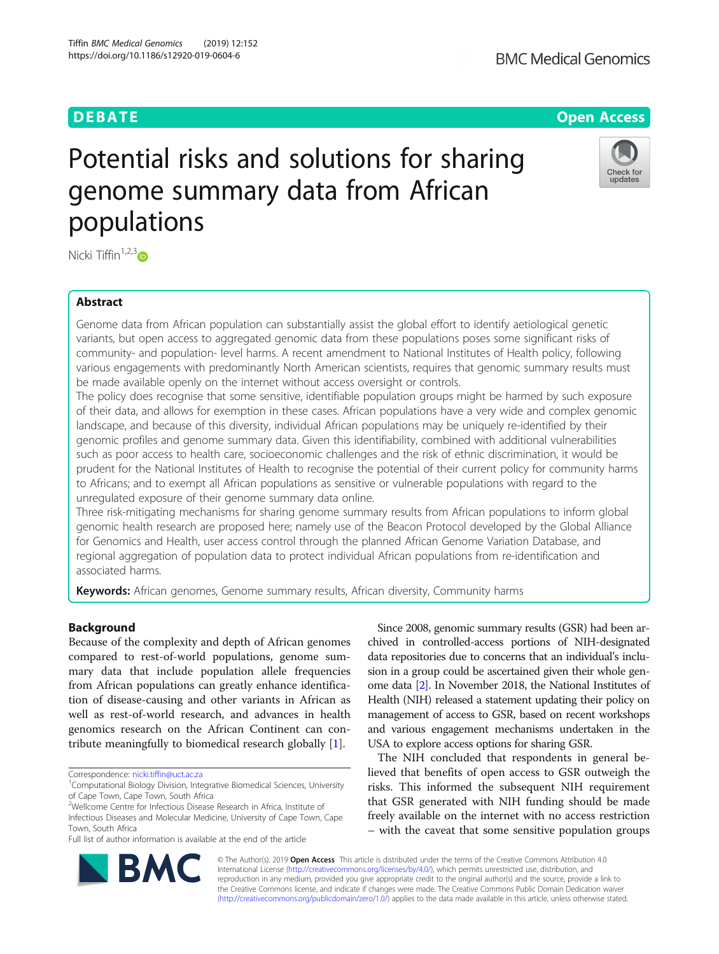### **DEBATE CONSERVATION DEBATE CONSERVATION**

# Potential risks and solutions for sharing genome summary data from African populations



Nicki Tiffin<sup>1,2,3</sup> $\bullet$ 

#### Abstract

Genome data from African population can substantially assist the global effort to identify aetiological genetic variants, but open access to aggregated genomic data from these populations poses some significant risks of community- and population- level harms. A recent amendment to National Institutes of Health policy, following various engagements with predominantly North American scientists, requires that genomic summary results must be made available openly on the internet without access oversight or controls.

The policy does recognise that some sensitive, identifiable population groups might be harmed by such exposure of their data, and allows for exemption in these cases. African populations have a very wide and complex genomic landscape, and because of this diversity, individual African populations may be uniquely re-identified by their genomic profiles and genome summary data. Given this identifiability, combined with additional vulnerabilities such as poor access to health care, socioeconomic challenges and the risk of ethnic discrimination, it would be prudent for the National Institutes of Health to recognise the potential of their current policy for community harms to Africans; and to exempt all African populations as sensitive or vulnerable populations with regard to the unregulated exposure of their genome summary data online.

Three risk-mitigating mechanisms for sharing genome summary results from African populations to inform global genomic health research are proposed here; namely use of the Beacon Protocol developed by the Global Alliance for Genomics and Health, user access control through the planned African Genome Variation Database, and regional aggregation of population data to protect individual African populations from re-identification and associated harms.

Keywords: African genomes, Genome summary results, African diversity, Community harms

#### Background

Because of the complexity and depth of African genomes compared to rest-of-world populations, genome summary data that include population allele frequencies from African populations can greatly enhance identification of disease-causing and other variants in African as well as rest-of-world research, and advances in health genomics research on the African Continent can contribute meaningfully to biomedical research globally [[1\]](#page-3-0).

Correspondence: [nicki.tiffin@uct.ac.za](mailto:nicki.tiffin@uct.ac.za) <sup>1</sup>

Since 2008, genomic summary results (GSR) had been archived in controlled-access portions of NIH-designated data repositories due to concerns that an individual's inclusion in a group could be ascertained given their whole genome data [\[2](#page-3-0)]. In November 2018, the National Institutes of Health (NIH) released a statement updating their policy on management of access to GSR, based on recent workshops and various engagement mechanisms undertaken in the USA to explore access options for sharing GSR.

The NIH concluded that respondents in general believed that benefits of open access to GSR outweigh the risks. This informed the subsequent NIH requirement that GSR generated with NIH funding should be made freely available on the internet with no access restriction – with the caveat that some sensitive population groups



© The Author(s). 2019 Open Access This article is distributed under the terms of the Creative Commons Attribution 4.0 International License [\(http://creativecommons.org/licenses/by/4.0/](http://creativecommons.org/licenses/by/4.0/)), which permits unrestricted use, distribution, and reproduction in any medium, provided you give appropriate credit to the original author(s) and the source, provide a link to the Creative Commons license, and indicate if changes were made. The Creative Commons Public Domain Dedication waiver [\(http://creativecommons.org/publicdomain/zero/1.0/](http://creativecommons.org/publicdomain/zero/1.0/)) applies to the data made available in this article, unless otherwise stated.

<sup>&</sup>lt;sup>1</sup> Computational Biology Division, Integrative Biomedical Sciences, University of Cape Town, Cape Town, South Africa

<sup>&</sup>lt;sup>2</sup>Wellcome Centre for Infectious Disease Research in Africa, Institute of Infectious Diseases and Molecular Medicine, University of Cape Town, Cape Town, South Africa

Full list of author information is available at the end of the article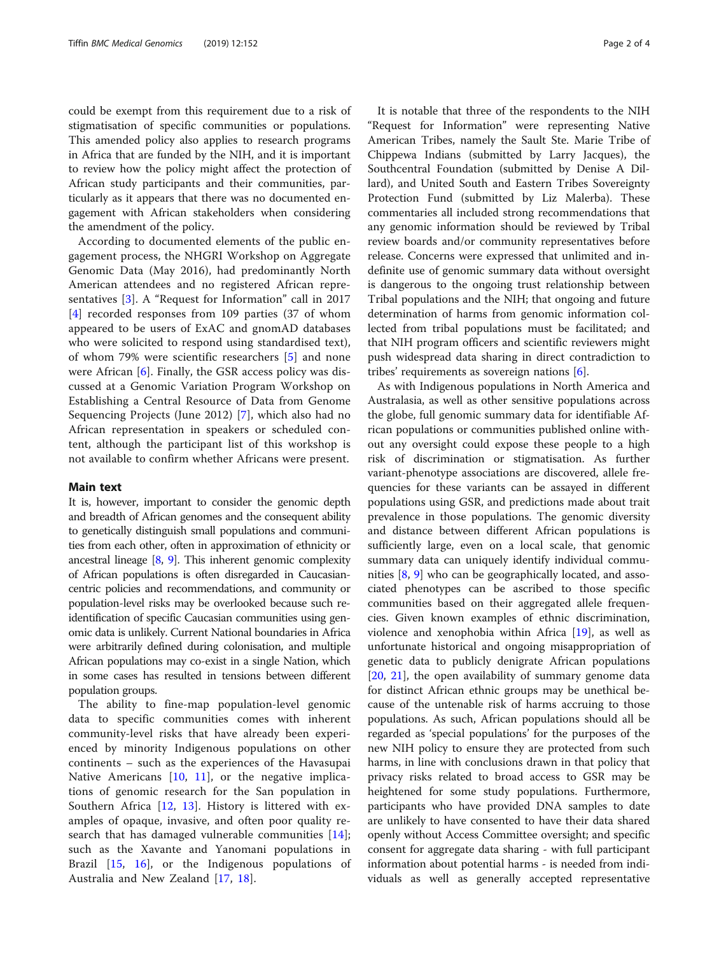could be exempt from this requirement due to a risk of stigmatisation of specific communities or populations. This amended policy also applies to research programs in Africa that are funded by the NIH, and it is important to review how the policy might affect the protection of African study participants and their communities, particularly as it appears that there was no documented engagement with African stakeholders when considering the amendment of the policy.

According to documented elements of the public engagement process, the NHGRI Workshop on Aggregate Genomic Data (May 2016), had predominantly North American attendees and no registered African representatives [[3\]](#page-3-0). A "Request for Information" call in 2017 [[4\]](#page-3-0) recorded responses from 109 parties (37 of whom appeared to be users of ExAC and gnomAD databases who were solicited to respond using standardised text), of whom 79% were scientific researchers [\[5](#page-3-0)] and none were African [[6](#page-3-0)]. Finally, the GSR access policy was discussed at a Genomic Variation Program Workshop on Establishing a Central Resource of Data from Genome Sequencing Projects (June 2012) [[7\]](#page-3-0), which also had no African representation in speakers or scheduled content, although the participant list of this workshop is not available to confirm whether Africans were present.

#### Main text

It is, however, important to consider the genomic depth and breadth of African genomes and the consequent ability to genetically distinguish small populations and communities from each other, often in approximation of ethnicity or ancestral lineage [[8](#page-3-0), [9\]](#page-3-0). This inherent genomic complexity of African populations is often disregarded in Caucasiancentric policies and recommendations, and community or population-level risks may be overlooked because such reidentification of specific Caucasian communities using genomic data is unlikely. Current National boundaries in Africa were arbitrarily defined during colonisation, and multiple African populations may co-exist in a single Nation, which in some cases has resulted in tensions between different population groups.

The ability to fine-map population-level genomic data to specific communities comes with inherent community-level risks that have already been experienced by minority Indigenous populations on other continents – such as the experiences of the Havasupai Native Americans [\[10](#page-3-0), [11](#page-3-0)], or the negative implications of genomic research for the San population in Southern Africa [[12,](#page-3-0) [13](#page-3-0)]. History is littered with examples of opaque, invasive, and often poor quality research that has damaged vulnerable communities [\[14](#page-3-0)]; such as the Xavante and Yanomani populations in Brazil [[15](#page-3-0), [16](#page-3-0)], or the Indigenous populations of Australia and New Zealand [[17,](#page-3-0) [18\]](#page-3-0).

It is notable that three of the respondents to the NIH "Request for Information" were representing Native American Tribes, namely the Sault Ste. Marie Tribe of Chippewa Indians (submitted by Larry Jacques), the Southcentral Foundation (submitted by Denise A Dillard), and United South and Eastern Tribes Sovereignty Protection Fund (submitted by Liz Malerba). These commentaries all included strong recommendations that any genomic information should be reviewed by Tribal review boards and/or community representatives before release. Concerns were expressed that unlimited and indefinite use of genomic summary data without oversight is dangerous to the ongoing trust relationship between Tribal populations and the NIH; that ongoing and future determination of harms from genomic information collected from tribal populations must be facilitated; and that NIH program officers and scientific reviewers might push widespread data sharing in direct contradiction to tribes' requirements as sovereign nations [\[6\]](#page-3-0).

As with Indigenous populations in North America and Australasia, as well as other sensitive populations across the globe, full genomic summary data for identifiable African populations or communities published online without any oversight could expose these people to a high risk of discrimination or stigmatisation. As further variant-phenotype associations are discovered, allele frequencies for these variants can be assayed in different populations using GSR, and predictions made about trait prevalence in those populations. The genomic diversity and distance between different African populations is sufficiently large, even on a local scale, that genomic summary data can uniquely identify individual communities [[8,](#page-3-0) [9\]](#page-3-0) who can be geographically located, and associated phenotypes can be ascribed to those specific communities based on their aggregated allele frequencies. Given known examples of ethnic discrimination, violence and xenophobia within Africa [\[19\]](#page-3-0), as well as unfortunate historical and ongoing misappropriation of genetic data to publicly denigrate African populations [[20,](#page-3-0) [21\]](#page-3-0), the open availability of summary genome data for distinct African ethnic groups may be unethical because of the untenable risk of harms accruing to those populations. As such, African populations should all be regarded as 'special populations' for the purposes of the new NIH policy to ensure they are protected from such harms, in line with conclusions drawn in that policy that privacy risks related to broad access to GSR may be heightened for some study populations. Furthermore, participants who have provided DNA samples to date are unlikely to have consented to have their data shared openly without Access Committee oversight; and specific consent for aggregate data sharing - with full participant information about potential harms - is needed from individuals as well as generally accepted representative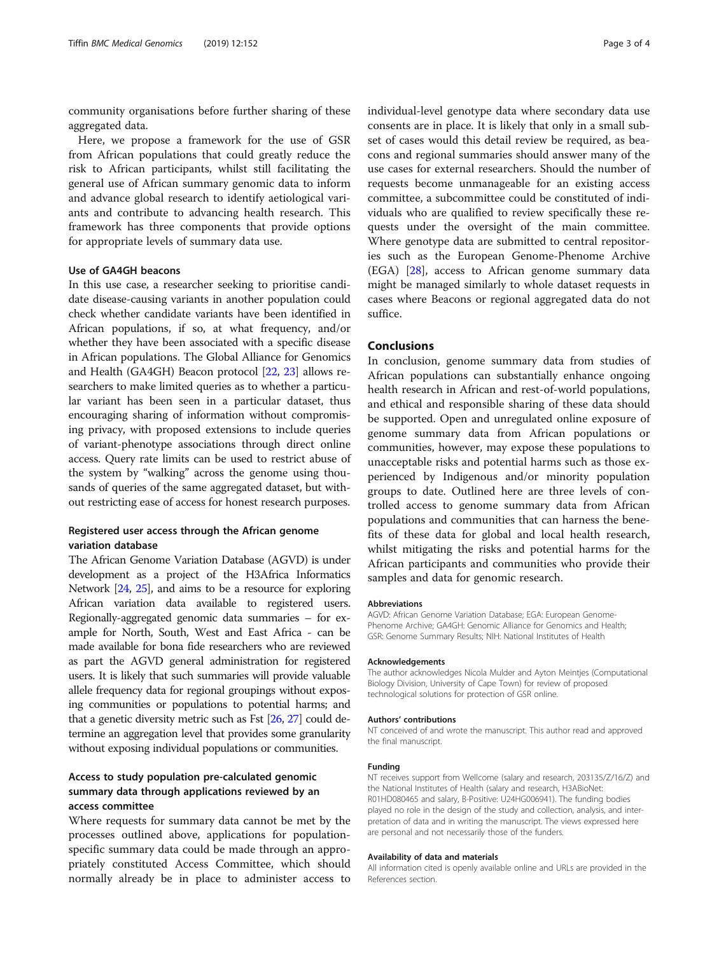community organisations before further sharing of these aggregated data.

Here, we propose a framework for the use of GSR from African populations that could greatly reduce the risk to African participants, whilst still facilitating the general use of African summary genomic data to inform and advance global research to identify aetiological variants and contribute to advancing health research. This framework has three components that provide options for appropriate levels of summary data use.

#### Use of GA4GH beacons

In this use case, a researcher seeking to prioritise candidate disease-causing variants in another population could check whether candidate variants have been identified in African populations, if so, at what frequency, and/or whether they have been associated with a specific disease in African populations. The Global Alliance for Genomics and Health (GA4GH) Beacon protocol [\[22,](#page-3-0) [23\]](#page-3-0) allows researchers to make limited queries as to whether a particular variant has been seen in a particular dataset, thus encouraging sharing of information without compromising privacy, with proposed extensions to include queries of variant-phenotype associations through direct online access. Query rate limits can be used to restrict abuse of the system by "walking" across the genome using thousands of queries of the same aggregated dataset, but without restricting ease of access for honest research purposes.

#### Registered user access through the African genome variation database

The African Genome Variation Database (AGVD) is under development as a project of the H3Africa Informatics Network [[24,](#page-3-0) [25\]](#page-3-0), and aims to be a resource for exploring African variation data available to registered users. Regionally-aggregated genomic data summaries – for example for North, South, West and East Africa - can be made available for bona fide researchers who are reviewed as part the AGVD general administration for registered users. It is likely that such summaries will provide valuable allele frequency data for regional groupings without exposing communities or populations to potential harms; and that a genetic diversity metric such as Fst [\[26](#page-3-0), [27\]](#page-3-0) could determine an aggregation level that provides some granularity without exposing individual populations or communities.

#### Access to study population pre-calculated genomic summary data through applications reviewed by an access committee

Where requests for summary data cannot be met by the processes outlined above, applications for populationspecific summary data could be made through an appropriately constituted Access Committee, which should normally already be in place to administer access to

individual-level genotype data where secondary data use consents are in place. It is likely that only in a small subset of cases would this detail review be required, as beacons and regional summaries should answer many of the use cases for external researchers. Should the number of requests become unmanageable for an existing access committee, a subcommittee could be constituted of individuals who are qualified to review specifically these requests under the oversight of the main committee. Where genotype data are submitted to central repositories such as the European Genome-Phenome Archive (EGA) [\[28](#page-3-0)], access to African genome summary data might be managed similarly to whole dataset requests in cases where Beacons or regional aggregated data do not suffice.

#### Conclusions

In conclusion, genome summary data from studies of African populations can substantially enhance ongoing health research in African and rest-of-world populations, and ethical and responsible sharing of these data should be supported. Open and unregulated online exposure of genome summary data from African populations or communities, however, may expose these populations to unacceptable risks and potential harms such as those experienced by Indigenous and/or minority population groups to date. Outlined here are three levels of controlled access to genome summary data from African populations and communities that can harness the benefits of these data for global and local health research, whilst mitigating the risks and potential harms for the African participants and communities who provide their samples and data for genomic research.

#### Abbreviations

AGVD: African Genome Variation Database; EGA: European Genome-Phenome Archive; GA4GH: Genomic Alliance for Genomics and Health; GSR: Genome Summary Results; NIH: National Institutes of Health

#### Acknowledgements

The author acknowledges Nicola Mulder and Ayton Meintjes (Computational Biology Division, University of Cape Town) for review of proposed technological solutions for protection of GSR online.

#### Authors' contributions

NT conceived of and wrote the manuscript. This author read and approved the final manuscript.

#### Funding

NT receives support from Wellcome (salary and research, 203135/Z/16/Z) and the National Institutes of Health (salary and research, H3ABioNet: R01HD080465 and salary, B-Positive: U24HG006941). The funding bodies played no role in the design of the study and collection, analysis, and interpretation of data and in writing the manuscript. The views expressed here are personal and not necessarily those of the funders.

#### Availability of data and materials

All information cited is openly available online and URLs are provided in the References section.